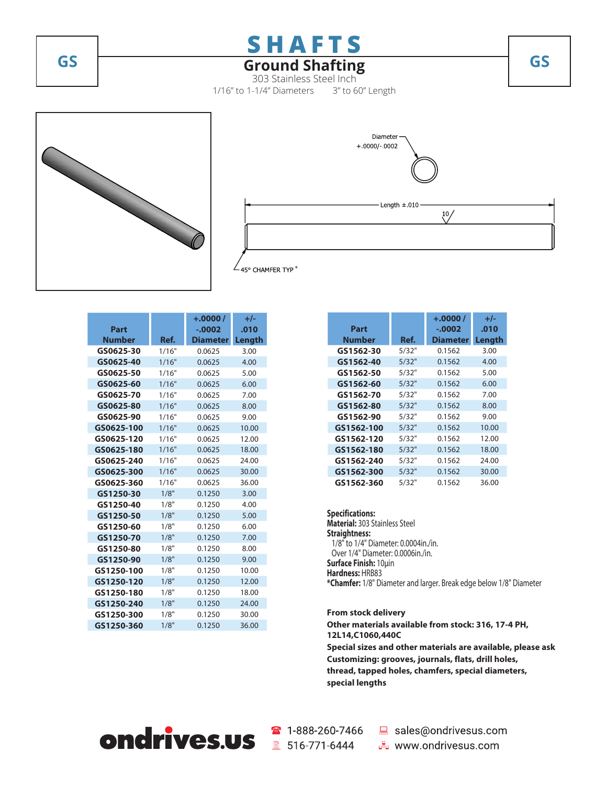

# **GS Ground Shafting GS**

303 Stainless Steel Inch 1/16" to 1-1/4" Diameters 3" to 60" Length





|               |       | $+.0000/$       | $+/-$  |
|---------------|-------|-----------------|--------|
| Part          |       | $-0.0002$       | .010   |
| <b>Number</b> | Ref.  | <b>Diameter</b> | Length |
| GS0625-30     | 1/16" | 0.0625          | 3.00   |
| GS0625-40     | 1/16" | 0.0625          | 4.00   |
| GS0625-50     | 1/16" | 0.0625          | 5.00   |
| GS0625-60     | 1/16" | 0.0625          | 6.00   |
| GS0625-70     | 1/16" | 0.0625          | 7.00   |
| GS0625-80     | 1/16" | 0.0625          | 8.00   |
| GS0625-90     | 1/16" | 0.0625          | 9.00   |
| GS0625-100    | 1/16" | 0.0625          | 10.00  |
| GS0625-120    | 1/16" | 0.0625          | 12.00  |
| GS0625-180    | 1/16" | 0.0625          | 18.00  |
| GS0625-240    | 1/16" | 0.0625          | 24.00  |
| GS0625-300    | 1/16" | 0.0625          | 30.00  |
| GS0625-360    | 1/16" | 0.0625          | 36.00  |
| GS1250-30     | 1/8"  | 0.1250          | 3.00   |
| GS1250-40     | 1/8"  | 0.1250          | 4.00   |
| GS1250-50     | 1/8"  | 0.1250          | 5.00   |
| GS1250-60     | 1/8"  | 0.1250          | 6.00   |
| GS1250-70     | 1/8"  | 0.1250          | 7.00   |
| GS1250-80     | 1/8"  | 0.1250          | 8.00   |
| GS1250-90     | 1/8"  | 0.1250          | 9.00   |
| GS1250-100    | 1/8"  | 0.1250          | 10.00  |
| GS1250-120    | 1/8"  | 0.1250          | 12.00  |
| GS1250-180    | 1/8"  | 0.1250          | 18.00  |
| GS1250-240    | 1/8"  | 0.1250          | 24.00  |
| GS1250-300    | 1/8"  | 0.1250          | 30.00  |
| GS1250-360    | 1/8"  | 0.1250          | 36.00  |

|            |       | $+.0000/$       | +/-    |
|------------|-------|-----------------|--------|
| Part       |       | $-.0002$        | .010   |
| Number     | Ref.  | <b>Diameter</b> | Length |
| GS1562-30  | 5/32" | 0.1562          | 3.00   |
| GS1562-40  | 5/32" | 0.1562          | 4.00   |
| GS1562-50  | 5/32" | 0.1562          | 5.00   |
| GS1562-60  | 5/32" | 0.1562          | 6.00   |
| GS1562-70  | 5/32" | 0.1562          | 7.00   |
| GS1562-80  | 5/32" | 0.1562          | 8.00   |
| GS1562-90  | 5/32" | 0.1562          | 9.00   |
| GS1562-100 | 5/32" | 0.1562          | 10.00  |
| GS1562-120 | 5/32" | 0.1562          | 12.00  |
| GS1562-180 | 5/32" | 0.1562          | 18.00  |
| GS1562-240 | 5/32" | 0.1562          | 24.00  |
| GS1562-300 | 5/32" | 0.1562          | 30.00  |
| GS1562-360 | 5/32" | 0.1562          | 36.00  |

### **Specifications:**

**Material:** 303 Stainless Steel **Straightness:** 1/8" to 1/4" Diameter: 0.0004in./in. Over 1/4" Diameter: 0.0006in./in. **Surface Finish:** 10μin **Hardness:** HRB83 **\*Chamfer:** 1/8" Diameter and larger. Break edge below 1/8" Diameter

**From stock delivery**

**Other materials available from stock: 316, 17-4 PH, 12L14,C1060,440C Special sizes and other materials are available, please ask Customizing: grooves, journals, flats, drill holes, thread, tapped holes, chamfers, special diameters,** 

**special lengths**



■ 516-771-6444

☎ 1-888-260-7466 ■ sales@ondrivesus.com

**E** www.ondrivesus.com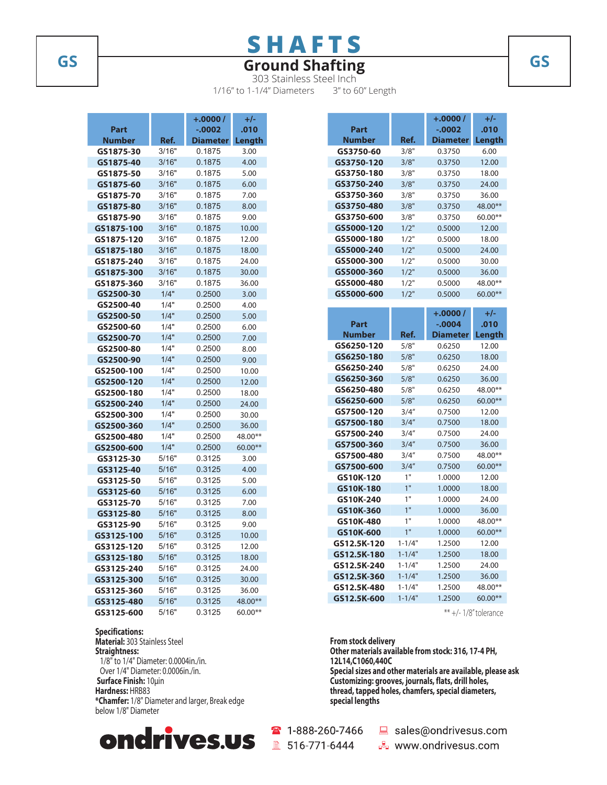# **SHAFTS**

# **GS Ground Shafting GS**

303 Stainless Steel Inch 1/16" to 1-1/4" Diameters 3" to 60" Length

|               |       | +.0000 /        | $+/-$     |  |
|---------------|-------|-----------------|-----------|--|
| Part          |       | -.0002          | .010      |  |
| <b>Number</b> | Ref.  | <b>Diameter</b> | Length    |  |
| GS1875-30     | 3/16" | 0.1875          | 3.00      |  |
| GS1875-40     | 3/16" | 0.1875          | 4.00      |  |
| GS1875-50     | 3/16" | 0.1875          | 5.00      |  |
| GS1875-60     | 3/16" | 0.1875          | 6.00      |  |
| GS1875-70     | 3/16" | 0.1875          | 7.00      |  |
| GS1875-80     | 3/16" | 0.1875          | 8.00      |  |
| GS1875-90     | 3/16" | 0.1875          | 9.00      |  |
| GS1875-100    | 3/16" | 0.1875          | 10.00     |  |
| GS1875-120    | 3/16" | 0.1875          | 12.00     |  |
| GS1875-180    | 3/16" | 0.1875          | 18.00     |  |
| GS1875-240    | 3/16" | 0.1875          | 24.00     |  |
| GS1875-300    | 3/16" | 0.1875          | 30.00     |  |
| GS1875-360    | 3/16" | 0.1875          | 36.00     |  |
| GS2500-30     | 1/4"  | 0.2500          | 3.00      |  |
| GS2500-40     | 1/4"  | 0.2500          | 4.00      |  |
| GS2500-50     | 1/4"  | 0.2500          | 5.00      |  |
| GS2500-60     | 1/4"  | 0.2500          | 6.00      |  |
| GS2500-70     | 1/4"  | 0.2500          | 7.00      |  |
| GS2500-80     | 1/4"  | 0.2500          | 8.00      |  |
| GS2500-90     | 1/4"  | 0.2500          | 9.00      |  |
| GS2500-100    | 1/4"  | 0.2500          | 10.00     |  |
| GS2500-120    | 1/4"  | 0.2500          | 12.00     |  |
| GS2500-180    | 1/4"  | 0.2500          | 18.00     |  |
| GS2500-240    | 1/4"  | 0.2500          | 24.00     |  |
| GS2500-300    | 1/4"  | 0.2500          | 30.00     |  |
| GS2500-360    | 1/4"  | 0.2500          | 36.00     |  |
| GS2500-480    | 1/4"  | 0.2500          | 48.00**   |  |
| GS2500-600    | 1/4"  | 0.2500          | 60.00**   |  |
| GS3125-30     | 5/16" | 0.3125          | 3.00      |  |
| GS3125-40     | 5/16" | 0.3125          | 4.00      |  |
| GS3125-50     | 5/16" | 0.3125          | 5.00      |  |
| GS3125-60     | 5/16" | 0.3125          | 6.00      |  |
| GS3125-70     | 5/16" | 0.3125          | 7.00      |  |
| GS3125-80     | 5/16" | 0.3125          | 8.00      |  |
| GS3125-90     | 5/16" | 0.3125          | 9.00      |  |
| GS3125-100    | 5/16" | 0.3125          | 10.00     |  |
| GS3125-120    | 5/16" | 0.3125          | 12.00     |  |
| GS3125-180    | 5/16" | 0.3125          | 18.00     |  |
| GS3125-240    | 5/16" | 0.3125          | 24.00     |  |
| GS3125-300    | 5/16" | 0.3125          | 30.00     |  |
| GS3125-360    | 5/16" | 0.3125          | 36.00     |  |
| GS3125-480    | 5/16" | 0.3125          | 48.00**   |  |
| CC3135 ENN    | E/16" | 0.3125          | $50.00**$ |  |

**GS3125-600** 5/16" 0.3125 60.00\*\* **Specifications: Material:** 303 Stainless Steel **Straightness:** 1/8" to 1/4" Diameter: 0.0004in./in. Over 1/4" Diameter: 0.0006in./in. **Surface Finish:** 10μin **Hardness:** HRB83 **\*Chamfer:** 1/8" Diameter and larger, Break edge



below 1/8" Diameter

|             |            | +.0000 /        | $+/-$     |
|-------------|------------|-----------------|-----------|
| Part        |            | -.0002          | .010      |
| Number      | Ref.       | Diameter        | Length    |
| GS3750-60   | 3/8"       | 0.3750          | 6.00      |
| GS3750-120  | 3/8"       | 0.3750          | 12.00     |
| GS3750-180  | 3/8"       | 0.3750          | 18.00     |
| GS3750-240  | 3/8"       | 0.3750          | 24.00     |
| GS3750-360  | 3/8"       | 0.3750          | 36.00     |
| GS3750-480  | 3/8"       | 0.3750          | 48.00**   |
| GS3750-600  | 3/8"       | 0.3750          | 60.00**   |
| GS5000-120  | 1/2"       | 0.5000          | 12.00     |
| GS5000-180  | 1/2"       | 0.5000          | 18.00     |
| GS5000-240  | 1/2"       | 0.5000          | 24.00     |
| GS5000-300  | 1/2"       | 0.5000          | 30.00     |
| GS5000-360  | 1/2"       | 0.5000          | 36.00     |
| GS5000-480  | 1/2"       | 0.5000          | 48.00**   |
| GS5000-600  | 1/2"       | 0.5000          | 60.00**   |
|             |            |                 |           |
|             |            | $+.0000/$       | $+/-$     |
| Part        |            | $-0.0004$       | .010      |
| Number      | Ref.       | <b>Diameter</b> | Length    |
| GS6250-120  | 5/8"       | 0.6250          | 12.00     |
| GS6250-180  | 5/8"       | 0.6250          | 18.00     |
| GS6250-240  | 5/8"       | 0.6250          | 24.00     |
| GS6250-360  | 5/8"       | 0.6250          | 36.00     |
| GS6250-480  | 5/8"       | 0.6250          | 48.00**   |
| GS6250-600  | 5/8"       | 0.6250          | 60.00**   |
| GS7500-120  | 3/4''      | 0.7500          | 12.00     |
| GS7500-180  | 3/4''      | 0.7500          | 18.00     |
| GS7500-240  | 3/4''      | 0.7500          | 24.00     |
| GS7500-360  | 3/4''      | 0.7500          | 36.00     |
| GS7500-480  | 3/4''      | 0.7500          | 48.00**   |
| GS7500-600  | 3/4''      | 0.7500          | 60.00**   |
| GS10K-120   | 1"         | 1.0000          | 12.00     |
| GS10K-180   | 1"         | 1.0000          | 18.00     |
| GS10K-240   | 1"         | 1.0000          | 24.00     |
| GS10K-360   | 1"         | 1.0000          | 36.00     |
| GS10K-480   | 1"         | 1.0000          | 48.00**   |
| GS10K-600   | 1"         | 1.0000          | $60.00**$ |
| GS12.5K-120 | 1-1/4"     | 1.2500          | 12.00     |
| GS12.5K-180 | $1 - 1/4"$ | 1.2500          | 18.00     |
| GS12.5K-240 | $1 - 1/4"$ | 1.2500          | 24.00     |
| GS12.5K-360 | $1 - 1/4"$ | 1.2500          | 36.00     |
| GS12.5K-480 | $1 - 1/4"$ | 1.2500          | 48.00**   |
| GS12.5K-600 | $1 - 1/4"$ | 1.2500          | 60.00**   |

\*\* +/- 1/8" tolerance

**From stock delivery Other materials available from stock: 316, 17-4 PH, 12L14,C1060,440C Special sizes and other materials are available, please ask Customizing: grooves, journals, flats, drill holes, thread, tapped holes, chamfers, special diameters, special lengths**

1-888-260-7466 ■ 516-771-6444

sales@ondrivesus.com

a<sub>s</sub> www.ondrivesus.com

**1.000 /**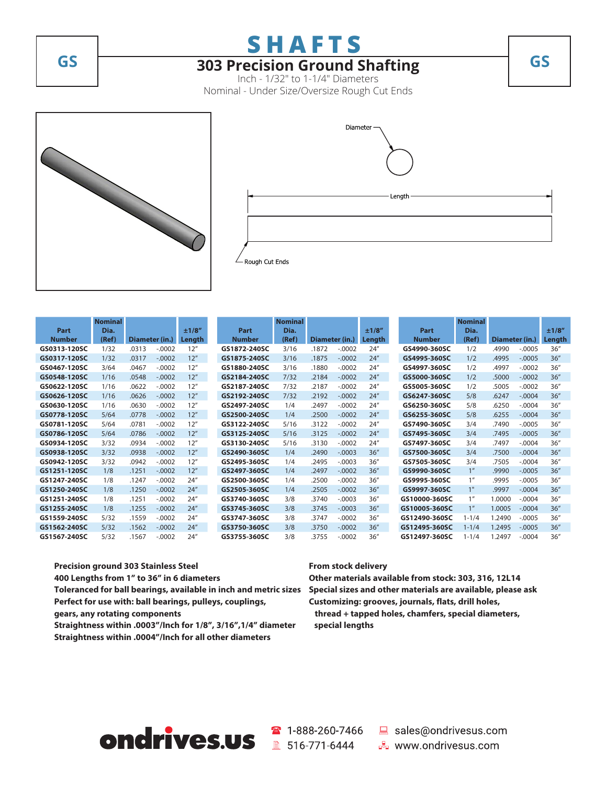**SHAFTS**

# **GS 303 Precision Ground Shafting GS**

Inch - 1/32" to 1-1/4" Diameters Nominal - Under Size/Oversize Rough Cut Ends





| Part          | <b>Nominal</b><br>Dia. |       |                | ±1/8'' | Part          | <b>Nominal</b><br>Dia. |                |          | ±1/8"  | Part          | <b>Nominal</b><br>Dia. |                |           | ±1/8'' |
|---------------|------------------------|-------|----------------|--------|---------------|------------------------|----------------|----------|--------|---------------|------------------------|----------------|-----------|--------|
| <b>Number</b> | (Ref)                  |       | Diameter (in.) | Length | <b>Number</b> | (Ref)                  | Diameter (in.) |          | Length | <b>Number</b> | (Ref)                  | Diameter (in.) |           | Length |
| GS0313-120SC  | 1/32                   | .0313 | $-.0002$       | 12"    | GS1872-240SC  | 3/16                   | .1872          | $-.0002$ | 24''   | GS4990-360SC  | 1/2                    | .4990          | $-0.0005$ | 36''   |
| GS0317-120SC  | 1/32                   | .0317 | $-.0002$       | 12"    | GS1875-240SC  | 3/16                   | .1875          | $-.0002$ | 24''   | GS4995-360SC  | 1/2                    | .4995          | $-0.0005$ | 36''   |
| GS0467-120SC  | 3/64                   | .0467 | $-.0002$       | 12"    | GS1880-240SC  | 3/16                   | .1880          | $-.0002$ | 24''   | GS4997-360SC  | 1/2                    | .4997          | $-.0002$  | 36''   |
| GS0548-120SC  | 1/16                   | .0548 | $-.0002$       | 12"    | GS2184-240SC  | 7/32                   | .2184          | $-.0002$ | 24''   | GS5000-360SC  | 1/2                    | .5000          | $-.0002$  | 36''   |
| GS0622-120SC  | 1/16                   | .0622 | $-.0002$       | 12"    | GS2187-240SC  | 7/32                   | .2187          | $-.0002$ | 24''   | GS5005-360SC  | 1/2                    | .5005          | $-.0002$  | 36''   |
| GS0626-120SC  | 1/16                   | .0626 | $-.0002$       | 12"    | GS2192-240SC  | 7/32                   | .2192          | $-.0002$ | 24''   | GS6247-360SC  | 5/8                    | .6247          | $-.0004$  | 36''   |
| GS0630-120SC  | 1/16                   | .0630 | $-.0002$       | 12"    | GS2497-240SC  | 1/4                    | .2497          | $-.0002$ | 24''   | GS6250-360SC  | 5/8                    | .6250          | $-.0004$  | 36''   |
| GS0778-120SC  | 5/64                   | .0778 | $-.0002$       | 12"    | GS2500-240SC  | 1/4                    | .2500          | $-.0002$ | 24''   | GS6255-360SC  | 5/8                    | .6255          | $-.0004$  | 36''   |
| GS0781-120SC  | 5/64                   | .0781 | $-.0002$       | 12"    | GS3122-240SC  | 5/16                   | .3122          | $-.0002$ | 24''   | GS7490-360SC  | 3/4                    | .7490          | $-.0005$  | 36''   |
| GS0786-120SC  | 5/64                   | .0786 | $-.0002$       | 12"    | GS3125-240SC  | 5/16                   | .3125          | $-.0002$ | 24''   | GS7495-360SC  | 3/4                    | .7495          | $-.0005$  | 36''   |
| GS0934-120SC  | 3/32                   | .0934 | $-.0002$       | 12"    | GS3130-240SC  | 5/16                   | .3130          | $-.0002$ | 24''   | GS7497-360SC  | 3/4                    | .7497          | $-.0004$  | 36''   |
| GS0938-120SC  | 3/32                   | .0938 | $-.0002$       | 12"    | GS2490-360SC  | 1/4                    | .2490          | $-.0003$ | 36''   | GS7500-360SC  | 3/4                    | .7500          | $-.0004$  | 36''   |
| GS0942-120SC  | 3/32                   | .0942 | $-.0002$       | 12"    | GS2495-360SC  | 1/4                    | .2495          | $-0.003$ | 36''   | GS7505-360SC  | 3/4                    | .7505          | $-.0004$  | 36''   |
| GS1251-120SC  | 1/8                    | .1251 | $-.0002$       | 12"    | GS2497-360SC  | 1/4                    | .2497          | $-.0002$ | 36''   | GS9990-360SC  | 1 <sup>''</sup>        | .9990          | $-.0005$  | 36''   |
| GS1247-240SC  | 1/8                    | .1247 | $-.0002$       | 24''   | GS2500-360SC  | 1/4                    | .2500          | $-.0002$ | 36''   | GS9995-360SC  | 1"                     | .9995          | $-.0005$  | 36''   |
| GS1250-240SC  | 1/8                    | .1250 | $-.0002$       | 24''   | GS2505-360SC  | 1/4                    | .2505          | $-.0002$ | 36''   | GS9997-360SC  | 1"                     | .9997          | $-.0004$  | 36''   |
| GS1251-240SC  | 1/8                    | .1251 | $-.0002$       | 24''   | GS3740-360SC  | 3/8                    | .3740          | $-.0003$ | 36''   | GS10000-360SC | 1"                     | 1.0000         | $-.0004$  | 36''   |
| GS1255-240SC  | 1/8                    | .1255 | $-.0002$       | 24''   | GS3745-360SC  | 3/8                    | .3745          | $-.0003$ | 36''   | GS10005-360SC | 1 <sup>''</sup>        | 1.0005         | $-.0004$  | 36''   |
| GS1559-240SC  | 5/32                   | .1559 | $-.0002$       | 24''   | GS3747-360SC  | 3/8                    | .3747          | $-.0002$ | 36''   | GS12490-360SC | $1 - 1/4$              | 1.2490         | $-.0005$  | 36''   |
| GS1562-240SC  | 5/32                   | .1562 | $-.0002$       | 24''   | GS3750-360SC  | 3/8                    | .3750          | $-.0002$ | 36''   | GS12495-360SC | $1 - 1/4$              | 1.2495         | $-.0005$  | 36''   |
| GS1567-240SC  | 5/32                   | .1567 | $-.0002$       | 24''   | GS3755-360SC  | 3/8                    | .3755          | $-.0002$ | 36''   | GS12497-360SC | $1 - 1/4$              | 1.2497         | $-.0004$  | 36''   |

**Precision ground 303 Stainless Steel 400 Lengths from 1" to 36" in 6 diameters Toleranced for ball bearings, available in inch and metric sizes Special sizes and other materials are available, please ask Perfect for use with: ball bearings, pulleys, couplings, gears, any rotating components Straightness within .0003"/Inch for 1/8", 3/16",1/4" diameter**

**Straightness within .0004"/Inch for all other diameters**

#### **From stock delivery**

**Other materials available from stock: 303, 316, 12L14 Customizing: grooves, journals, flats, drill holes, thread + tapped holes, chamfers, special diameters,**

 **special lengths**

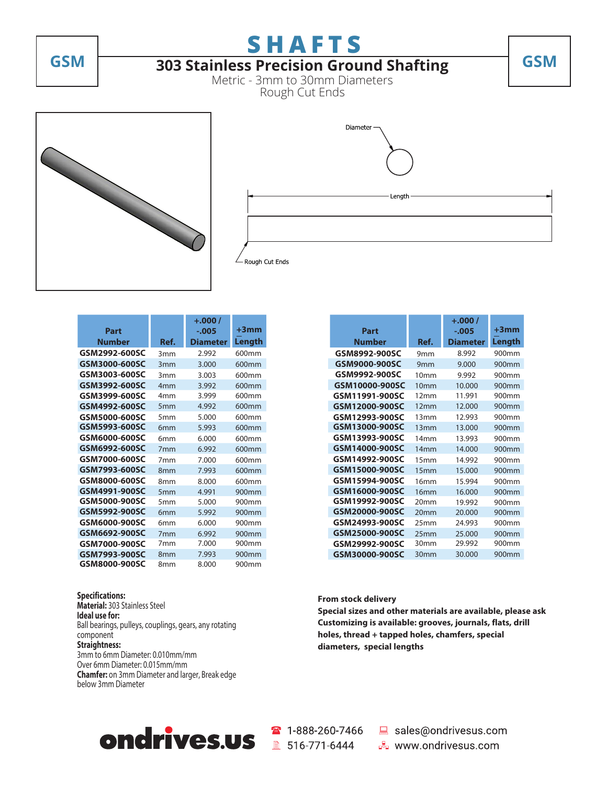

# **SHAFTS GSM GSM 303 Stainless Precision Ground Shafting**

Metric - 3mm to 30mm Diameters Rough Cut Ends





|               |                 | $+.000/$        | $+3$ mm |
|---------------|-----------------|-----------------|---------|
| Part          |                 | $-.005$         |         |
| Number        | Ref.            | <b>Diameter</b> | Length  |
| GSM2992-600SC | 3mm             | 2.992           | 600mm   |
| GSM3000-600SC | 3mm             | 3.000           | 600mm   |
| GSM3003-600SC | 3mm             | 3.003           | 600mm   |
| GSM3992-600SC | 4 <sub>mm</sub> | 3.992           | 600mm   |
| GSM3999-600SC | 4mm             | 3.999           | 600mm   |
| GSM4992-600SC | 5 <sub>mm</sub> | 4.992           | 600mm   |
| GSM5000-600SC | 5mm             | 5.000           | 600mm   |
| GSM5993-600SC | 6 <sub>mm</sub> | 5.993           | 600mm   |
| GSM6000-600SC | 6mm             | 6.000           | 600mm   |
| GSM6992-600SC | 7 <sub>mm</sub> | 6.992           | 600mm   |
| GSM7000-600SC | 7mm             | 7.000           | 600mm   |
| GSM7993-600SC | 8 <sub>mm</sub> | 7.993           | 600mm   |
| GSM8000-600SC | 8 <sub>mm</sub> | 8.000           | 600mm   |
| GSM4991-900SC | 5 <sub>mm</sub> | 4.991           | 900mm   |
| GSM5000-900SC | 5mm             | 5.000           | 900mm   |
| GSM5992-900SC | 6 <sub>mm</sub> | 5.992           | 900mm   |
| GSM6000-900SC | 6mm             | 6.000           | 900mm   |
| GSM6692-900SC | 7 <sub>mm</sub> | 6.992           | 900mm   |
| GSM7000-900SC | 7mm             | 7.000           | 900mm   |
| GSM7993-900SC | 8 <sub>mm</sub> | 7.993           | 900mm   |
| GSM8000-900SC | 8mm             | 8.000           | 900mm   |

#### **Specifications: Material:** 303 Stainless Steel **Ideal use for:** Ball bearings, pulleys, couplings, gears, any rotating component **Straightness:**  3mm to 6mm Diameter: 0.010mm/mm Over 6mm Diameter: 0.015mm/mm **Chamfer:** on 3mm Diameter and larger, Break edge below 3mm Diameter

|                |                  | $+.000/$        |         |
|----------------|------------------|-----------------|---------|
| Part           |                  | $-.005$         | $+3$ mm |
| <b>Number</b>  | Ref.             | <b>Diameter</b> | Length  |
| GSM8992-900SC  | 9 <sub>mm</sub>  | 8.992           | 900mm   |
| GSM9000-900SC  | 9 <sub>mm</sub>  | 9.000           | 900mm   |
| GSM9992-900SC  | 10 <sub>mm</sub> | 9.992           | 900mm   |
| GSM10000-900SC | 10 <sub>mm</sub> | 10.000          | 900mm   |
| GSM11991-900SC | 12mm             | 11.991          | 900mm   |
| GSM12000-900SC | 12mm             | 12.000          | 900mm   |
| GSM12993-900SC | 13mm             | 12.993          | 900mm   |
| GSM13000-900SC | 13mm             | 13.000          | 900mm   |
| GSM13993-900SC | 14mm             | 13.993          | 900mm   |
| GSM14000-900SC | 14 <sub>mm</sub> | 14.000          | 900mm   |
| GSM14992-900SC | 15mm             | 14.992          | 900mm   |
| GSM15000-900SC | 15 <sub>mm</sub> | 15.000          | 900mm   |
| GSM15994-900SC | 16mm             | 15.994          | 900mm   |
| GSM16000-900SC | 16mm             | 16.000          | 900mm   |
| GSM19992-900SC | 20 <sub>mm</sub> | 19.992          | 900mm   |
| GSM20000-900SC | 20 <sub>mm</sub> | 20.000          | 900mm   |
| GSM24993-900SC | 25 <sub>mm</sub> | 24.993          | 900mm   |
| GSM25000-900SC | 25 <sub>mm</sub> | 25.000          | 900mm   |
| GSM29992-900SC | 30 <sub>mm</sub> | 29.992          | 900mm   |
| GSM30000-900SC | 30 <sub>mm</sub> | 30.000          | 900mm   |

### **From stock delivery**

**Special sizes and other materials are available, please ask Customizing is available: grooves, journals, flats, drill holes, thread + tapped holes, chamfers, special diameters, special lengths**

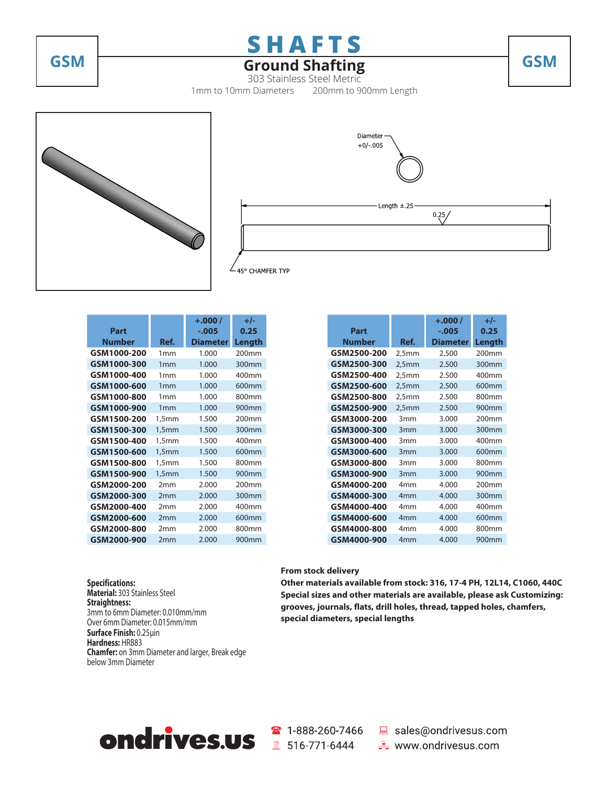

# **GSM Ground Shafting GSM**

303 Stainless Steel Metric 1mm to 10mm Diameters 200mm to 900mm Length





| Part          |                 | $+.000/$<br>$-0.005$ | $+/-$<br>0.25 |
|---------------|-----------------|----------------------|---------------|
| <b>Number</b> | Ref.            | <b>Diameter</b>      | Length        |
| GSM1000-200   | 1mm             | 1.000                | 200mm         |
| GSM1000-300   | 1mm             | 1.000                | 300mm         |
| GSM1000-400   | 1mm             | 1.000                | 400mm         |
| GSM1000-600   | 1mm             | 1.000                | 600mm         |
| GSM1000-800   | 1mm             | 1.000                | 800mm         |
| GSM1000-900   | 1mm             | 1.000                | 900mm         |
| GSM1500-200   | 1,5mm           | 1.500                | 200mm         |
| GSM1500-300   | 1,5mm           | 1.500                | 300mm         |
| GSM1500-400   | 1,5mm           | 1.500                | 400mm         |
| GSM1500-600   | 1,5mm           | 1.500                | 600mm         |
| GSM1500-800   | 1,5mm           | 1.500                | 800mm         |
| GSM1500-900   | 1,5mm           | 1.500                | 900mm         |
| GSM2000-200   | 2mm             | 2.000                | 200mm         |
| GSM2000-300   | 2 <sub>mm</sub> | 2.000                | 300mm         |
| GSM2000-400   | 2mm             | 2.000                | 400mm         |
| GSM2000-600   | 2mm             | 2.000                | 600mm         |
| GSM2000-800   | 2mm             | 2.000                | 800mm         |
| GSM2000-900   | 2mm             | 2.000                | 900mm         |

|               |                 | $+.000/$        | +/-               |
|---------------|-----------------|-----------------|-------------------|
| Part          |                 | $-0.005$        | 0.25              |
| <b>Number</b> | Ref.            | <b>Diameter</b> | Length            |
| GSM2500-200   | 2,5mm           | 2.500           | 200mm             |
| GSM2500-300   | 2,5mm           | 2.500           | 300mm             |
| GSM2500-400   | 2,5mm           | 2.500           | 400mm             |
| GSM2500-600   | 2,5mm           | 2.500           | 600mm             |
| GSM2500-800   | 2,5mm           | 2.500           | 800mm             |
| GSM2500-900   | 2,5mm           | 2.500           | 900mm             |
| GSM3000-200   | 3 <sub>mm</sub> | 3.000           | 200 <sub>mm</sub> |
| GSM3000-300   | 3 <sub>mm</sub> | 3.000           | 300mm             |
| GSM3000-400   | 3 <sub>mm</sub> | 3.000           | 400mm             |
| GSM3000-600   | 3 <sub>mm</sub> | 3.000           | 600mm             |
| GSM3000-800   | 3 <sub>mm</sub> | 3.000           | 800mm             |
| GSM3000-900   | 3 <sub>mm</sub> | 3.000           | 900mm             |
| GSM4000-200   | 4mm             | 4.000           | 200 <sub>mm</sub> |
| GSM4000-300   | 4 <sub>mm</sub> | 4.000           | 300mm             |
| GSM4000-400   | 4mm             | 4.000           | 400mm             |
| GSM4000-600   | 4 <sub>mm</sub> | 4.000           | 600mm             |
| GSM4000-800   | 4mm             | 4.000           | 800mm             |
| GSM4000-900   | 4 <sub>mm</sub> | 4.000           | 900mm             |

**Specifications: Material:** 303 Stainless Steel **Straightness:**  3mm to 6mm Diameter: 0.010mm/mm Over 6mm Diameter: 0.015mm/mm **Surface Finish:** 0.25μin **Hardness:** HRB83 **Chamfer:** on 3mm Diameter and larger, Break edge below 3mm Diameter

### **From stock delivery**

**Other materials available from stock: 316, 17-4 PH, 12L14, C1060, 440C Special sizes and other materials are available, please ask Customizing: grooves, journals, flats, drill holes, thread, tapped holes, chamfers, special diameters, special lengths**



■ 1-888-260-7466 ■ sales@ondrivesus.com **E** www.ondrivesus.com